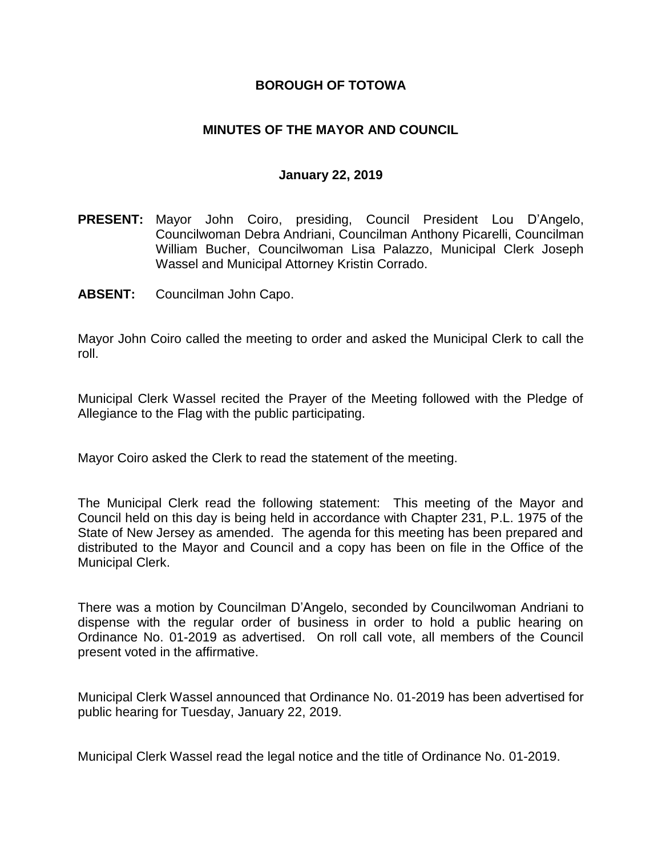### **BOROUGH OF TOTOWA**

### **MINUTES OF THE MAYOR AND COUNCIL**

#### **January 22, 2019**

- **PRESENT:** Mayor John Coiro, presiding, Council President Lou D'Angelo, Councilwoman Debra Andriani, Councilman Anthony Picarelli, Councilman William Bucher, Councilwoman Lisa Palazzo, Municipal Clerk Joseph Wassel and Municipal Attorney Kristin Corrado.
- **ABSENT:** Councilman John Capo.

Mayor John Coiro called the meeting to order and asked the Municipal Clerk to call the roll.

Municipal Clerk Wassel recited the Prayer of the Meeting followed with the Pledge of Allegiance to the Flag with the public participating.

Mayor Coiro asked the Clerk to read the statement of the meeting.

The Municipal Clerk read the following statement: This meeting of the Mayor and Council held on this day is being held in accordance with Chapter 231, P.L. 1975 of the State of New Jersey as amended. The agenda for this meeting has been prepared and distributed to the Mayor and Council and a copy has been on file in the Office of the Municipal Clerk.

There was a motion by Councilman D'Angelo, seconded by Councilwoman Andriani to dispense with the regular order of business in order to hold a public hearing on Ordinance No. 01-2019 as advertised. On roll call vote, all members of the Council present voted in the affirmative.

Municipal Clerk Wassel announced that Ordinance No. 01-2019 has been advertised for public hearing for Tuesday, January 22, 2019.

Municipal Clerk Wassel read the legal notice and the title of Ordinance No. 01-2019.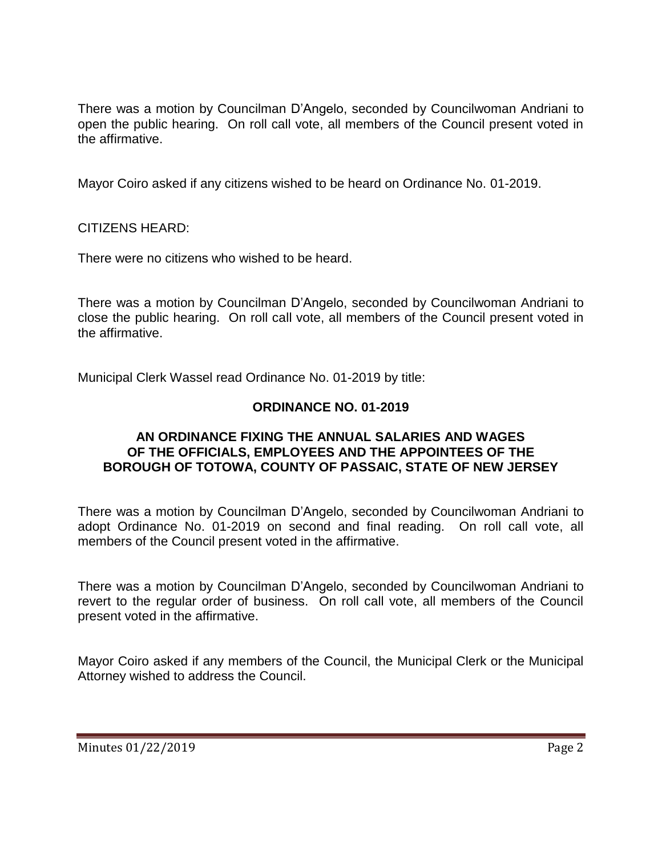There was a motion by Councilman D'Angelo, seconded by Councilwoman Andriani to open the public hearing. On roll call vote, all members of the Council present voted in the affirmative.

Mayor Coiro asked if any citizens wished to be heard on Ordinance No. 01-2019.

CITIZENS HEARD:

There were no citizens who wished to be heard.

There was a motion by Councilman D'Angelo, seconded by Councilwoman Andriani to close the public hearing. On roll call vote, all members of the Council present voted in the affirmative.

Municipal Clerk Wassel read Ordinance No. 01-2019 by title:

# **ORDINANCE NO. 01-2019**

### **AN ORDINANCE FIXING THE ANNUAL SALARIES AND WAGES OF THE OFFICIALS, EMPLOYEES AND THE APPOINTEES OF THE BOROUGH OF TOTOWA, COUNTY OF PASSAIC, STATE OF NEW JERSEY**

There was a motion by Councilman D'Angelo, seconded by Councilwoman Andriani to adopt Ordinance No. 01-2019 on second and final reading. On roll call vote, all members of the Council present voted in the affirmative.

There was a motion by Councilman D'Angelo, seconded by Councilwoman Andriani to revert to the regular order of business. On roll call vote, all members of the Council present voted in the affirmative.

Mayor Coiro asked if any members of the Council, the Municipal Clerk or the Municipal Attorney wished to address the Council.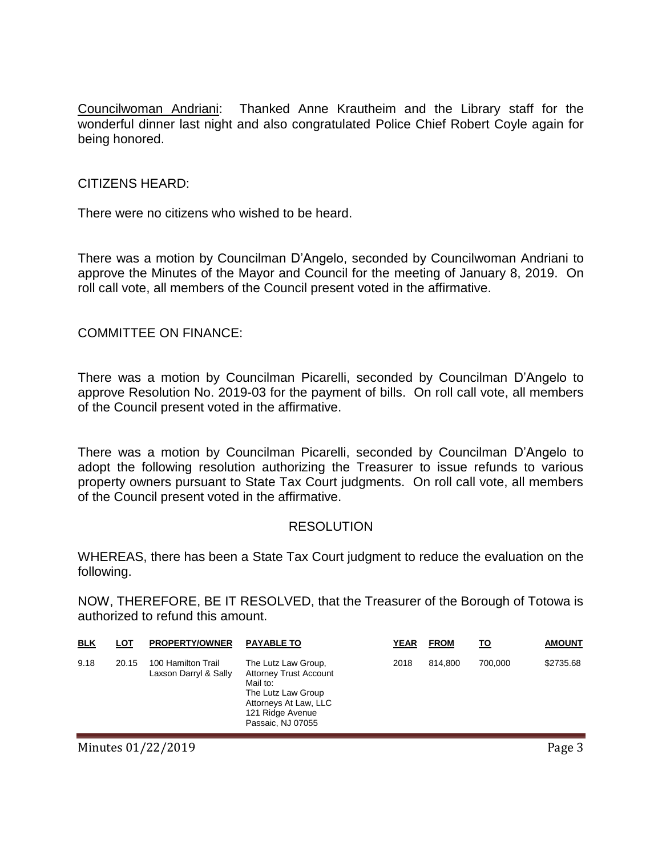Councilwoman Andriani: Thanked Anne Krautheim and the Library staff for the wonderful dinner last night and also congratulated Police Chief Robert Coyle again for being honored.

#### CITIZENS HEARD:

There were no citizens who wished to be heard.

There was a motion by Councilman D'Angelo, seconded by Councilwoman Andriani to approve the Minutes of the Mayor and Council for the meeting of January 8, 2019. On roll call vote, all members of the Council present voted in the affirmative.

### COMMITTEE ON FINANCE:

There was a motion by Councilman Picarelli, seconded by Councilman D'Angelo to approve Resolution No. 2019-03 for the payment of bills. On roll call vote, all members of the Council present voted in the affirmative.

There was a motion by Councilman Picarelli, seconded by Councilman D'Angelo to adopt the following resolution authorizing the Treasurer to issue refunds to various property owners pursuant to State Tax Court judgments. On roll call vote, all members of the Council present voted in the affirmative.

### **RESOLUTION**

WHEREAS, there has been a State Tax Court judgment to reduce the evaluation on the following.

NOW, THEREFORE, BE IT RESOLVED, that the Treasurer of the Borough of Totowa is authorized to refund this amount.

| <b>BLK</b> | LOT   | <b>PROPERTY/OWNER</b>                       | <b>PAYABLE TO</b>                                                                                                                                        | <b>YEAR</b> | <b>FROM</b> | <u>TO</u> | <b>AMOUNT</b> |
|------------|-------|---------------------------------------------|----------------------------------------------------------------------------------------------------------------------------------------------------------|-------------|-------------|-----------|---------------|
| 9.18       | 20.15 | 100 Hamilton Trail<br>Laxson Darryl & Sally | The Lutz Law Group,<br><b>Attorney Trust Account</b><br>Mail to:<br>The Lutz Law Group<br>Attorneys At Law, LLC<br>121 Ridge Avenue<br>Passaic, NJ 07055 | 2018        | 814.800     | 700.000   | \$2735.68     |

Minutes 01/22/2019 Page 3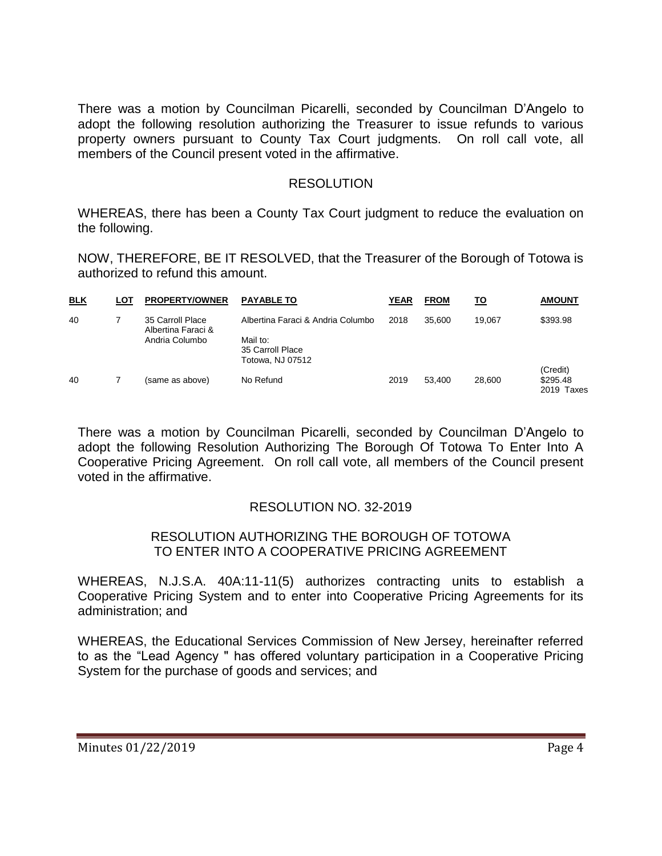There was a motion by Councilman Picarelli, seconded by Councilman D'Angelo to adopt the following resolution authorizing the Treasurer to issue refunds to various property owners pursuant to County Tax Court judgments. On roll call vote, all members of the Council present voted in the affirmative.

### RESOLUTION

WHEREAS, there has been a County Tax Court judgment to reduce the evaluation on the following.

NOW, THEREFORE, BE IT RESOLVED, that the Treasurer of the Borough of Totowa is authorized to refund this amount.

| <b>BLK</b> | LOT | <b>PROPERTY/OWNER</b>                                    | <b>PAYABLE TO</b>                    | <b>YEAR</b> | <b>FROM</b> | <u>TO</u> | <b>AMOUNT</b>             |
|------------|-----|----------------------------------------------------------|--------------------------------------|-------------|-------------|-----------|---------------------------|
| 40         |     | 35 Carroll Place<br>Albertina Faraci &<br>Andria Columbo | Albertina Faraci & Andria Columbo    | 2018        | 35.600      | 19.067    | \$393.98                  |
|            |     |                                                          | Mail to:                             |             |             |           |                           |
|            |     |                                                          | 35 Carroll Place<br>Totowa, NJ 07512 |             |             |           |                           |
|            |     |                                                          |                                      |             |             |           | (Credit)                  |
| 40         |     | (same as above)                                          | No Refund                            | 2019        | 53.400      | 28,600    | \$295.48<br>2019<br>Taxes |

There was a motion by Councilman Picarelli, seconded by Councilman D'Angelo to adopt the following Resolution Authorizing The Borough Of Totowa To Enter Into A Cooperative Pricing Agreement. On roll call vote, all members of the Council present voted in the affirmative.

### RESOLUTION NO. 32-2019

#### RESOLUTION AUTHORIZING THE BOROUGH OF TOTOWA TO ENTER INTO A COOPERATIVE PRICING AGREEMENT

WHEREAS, N.J.S.A. 40A:11-11(5) authorizes contracting units to establish a Cooperative Pricing System and to enter into Cooperative Pricing Agreements for its administration; and

WHEREAS, the Educational Services Commission of New Jersey, hereinafter referred to as the "Lead Agency " has offered voluntary participation in a Cooperative Pricing System for the purchase of goods and services; and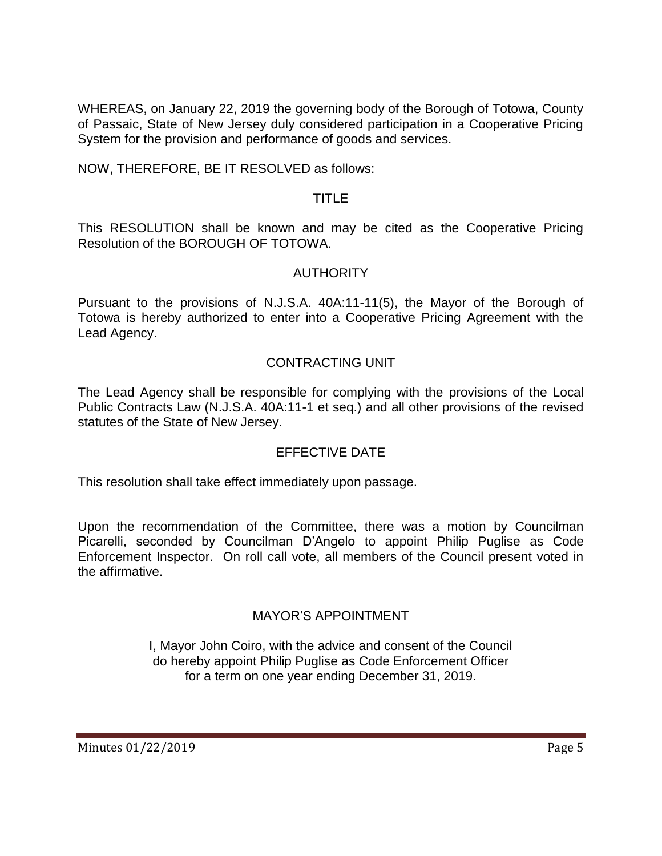WHEREAS, on January 22, 2019 the governing body of the Borough of Totowa, County of Passaic, State of New Jersey duly considered participation in a Cooperative Pricing System for the provision and performance of goods and services.

NOW, THEREFORE, BE IT RESOLVED as follows:

## TITLE

This RESOLUTION shall be known and may be cited as the Cooperative Pricing Resolution of the BOROUGH OF TOTOWA.

# **AUTHORITY**

Pursuant to the provisions of N.J.S.A. 40A:11-11(5), the Mayor of the Borough of Totowa is hereby authorized to enter into a Cooperative Pricing Agreement with the Lead Agency.

# CONTRACTING UNIT

The Lead Agency shall be responsible for complying with the provisions of the Local Public Contracts Law (N.J.S.A. 40A:11-1 et seq.) and all other provisions of the revised statutes of the State of New Jersey.

# EFFECTIVE DATE

This resolution shall take effect immediately upon passage.

Upon the recommendation of the Committee, there was a motion by Councilman Picarelli, seconded by Councilman D'Angelo to appoint Philip Puglise as Code Enforcement Inspector. On roll call vote, all members of the Council present voted in the affirmative.

# MAYOR'S APPOINTMENT

I, Mayor John Coiro, with the advice and consent of the Council do hereby appoint Philip Puglise as Code Enforcement Officer for a term on one year ending December 31, 2019.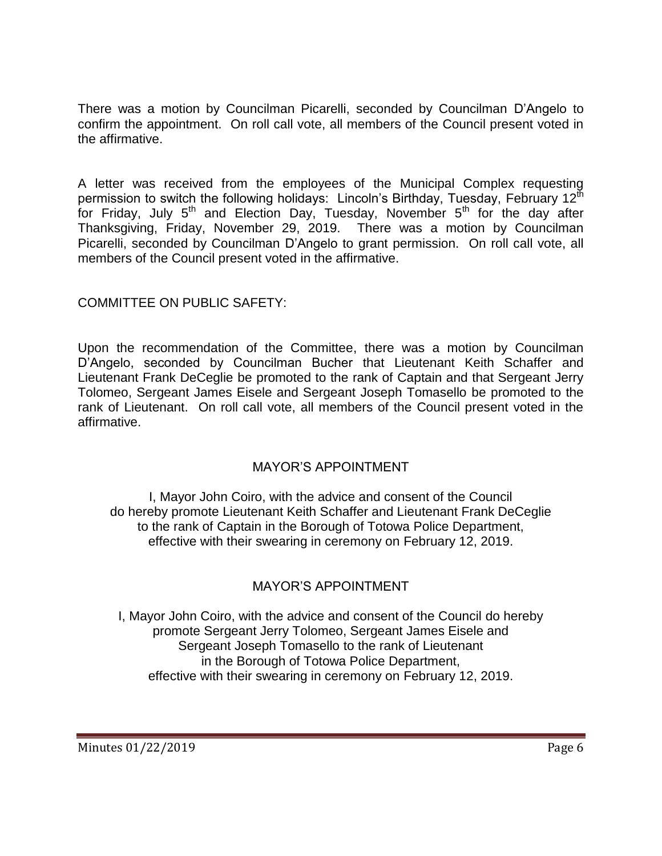There was a motion by Councilman Picarelli, seconded by Councilman D'Angelo to confirm the appointment. On roll call vote, all members of the Council present voted in the affirmative.

A letter was received from the employees of the Municipal Complex requesting permission to switch the following holidays: Lincoln's Birthday, Tuesday, February  $12<sup>th</sup>$ for Friday, July  $5<sup>th</sup>$  and Election Day, Tuesday, November  $5<sup>th</sup>$  for the day after Thanksgiving, Friday, November 29, 2019. There was a motion by Councilman Picarelli, seconded by Councilman D'Angelo to grant permission. On roll call vote, all members of the Council present voted in the affirmative.

# COMMITTEE ON PUBLIC SAFETY:

Upon the recommendation of the Committee, there was a motion by Councilman D'Angelo, seconded by Councilman Bucher that Lieutenant Keith Schaffer and Lieutenant Frank DeCeglie be promoted to the rank of Captain and that Sergeant Jerry Tolomeo, Sergeant James Eisele and Sergeant Joseph Tomasello be promoted to the rank of Lieutenant. On roll call vote, all members of the Council present voted in the affirmative.

# MAYOR'S APPOINTMENT

I, Mayor John Coiro, with the advice and consent of the Council do hereby promote Lieutenant Keith Schaffer and Lieutenant Frank DeCeglie to the rank of Captain in the Borough of Totowa Police Department, effective with their swearing in ceremony on February 12, 2019.

# MAYOR'S APPOINTMENT

I, Mayor John Coiro, with the advice and consent of the Council do hereby promote Sergeant Jerry Tolomeo, Sergeant James Eisele and Sergeant Joseph Tomasello to the rank of Lieutenant in the Borough of Totowa Police Department, effective with their swearing in ceremony on February 12, 2019.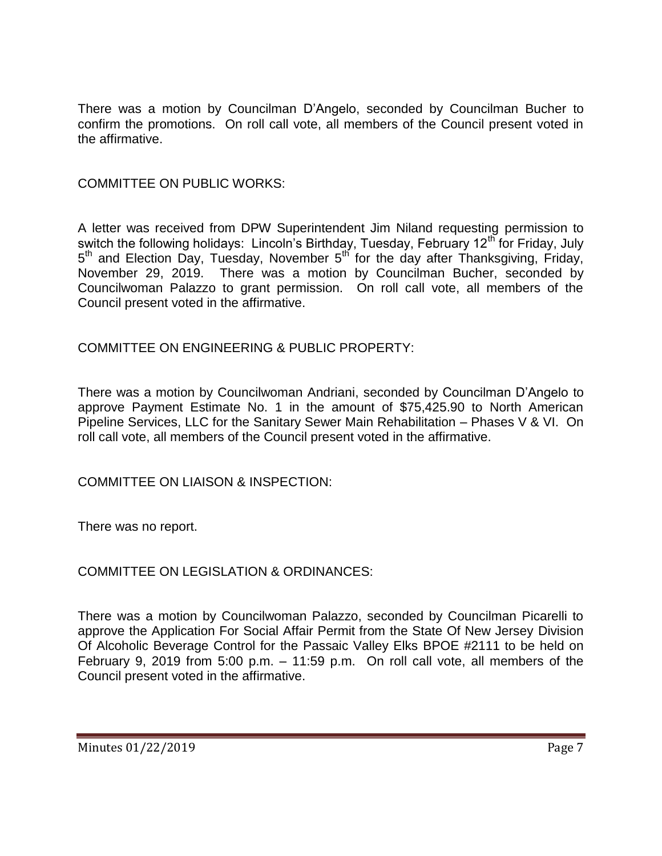There was a motion by Councilman D'Angelo, seconded by Councilman Bucher to confirm the promotions. On roll call vote, all members of the Council present voted in the affirmative.

### COMMITTEE ON PUBLIC WORKS:

A letter was received from DPW Superintendent Jim Niland requesting permission to switch the following holidays: Lincoln's Birthday, Tuesday, February 12<sup>th</sup> for Friday, July 5<sup>th</sup> and Election Day, Tuesday, November 5<sup>th</sup> for the day after Thanksgiving, Friday, November 29, 2019. There was a motion by Councilman Bucher, seconded by Councilwoman Palazzo to grant permission. On roll call vote, all members of the Council present voted in the affirmative.

# COMMITTEE ON ENGINEERING & PUBLIC PROPERTY:

There was a motion by Councilwoman Andriani, seconded by Councilman D'Angelo to approve Payment Estimate No. 1 in the amount of \$75,425.90 to North American Pipeline Services, LLC for the Sanitary Sewer Main Rehabilitation – Phases V & VI. On roll call vote, all members of the Council present voted in the affirmative.

COMMITTEE ON LIAISON & INSPECTION:

There was no report.

COMMITTEE ON LEGISLATION & ORDINANCES:

There was a motion by Councilwoman Palazzo, seconded by Councilman Picarelli to approve the Application For Social Affair Permit from the State Of New Jersey Division Of Alcoholic Beverage Control for the Passaic Valley Elks BPOE #2111 to be held on February 9, 2019 from 5:00 p.m. – 11:59 p.m. On roll call vote, all members of the Council present voted in the affirmative.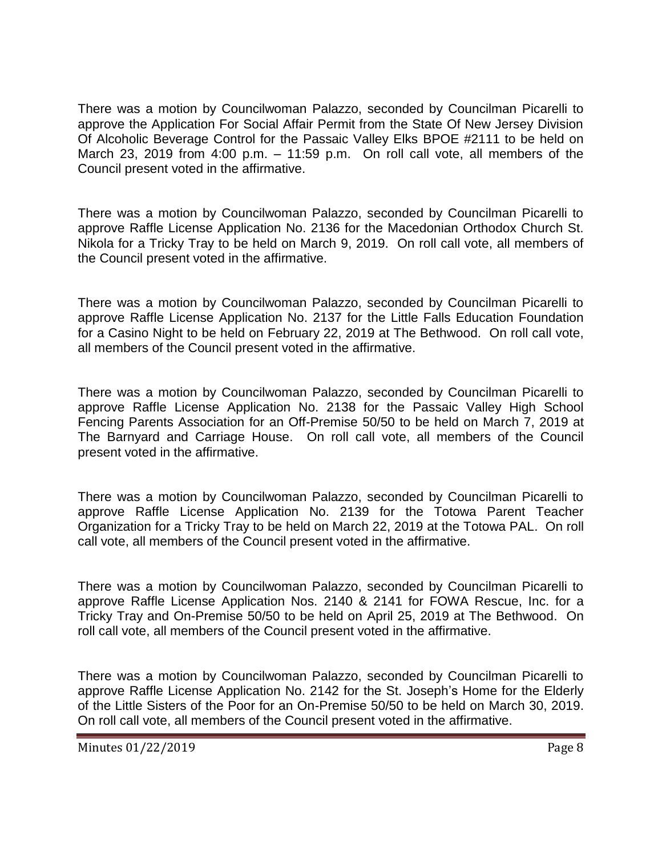There was a motion by Councilwoman Palazzo, seconded by Councilman Picarelli to approve the Application For Social Affair Permit from the State Of New Jersey Division Of Alcoholic Beverage Control for the Passaic Valley Elks BPOE #2111 to be held on March 23, 2019 from 4:00 p.m. – 11:59 p.m. On roll call vote, all members of the Council present voted in the affirmative.

There was a motion by Councilwoman Palazzo, seconded by Councilman Picarelli to approve Raffle License Application No. 2136 for the Macedonian Orthodox Church St. Nikola for a Tricky Tray to be held on March 9, 2019. On roll call vote, all members of the Council present voted in the affirmative.

There was a motion by Councilwoman Palazzo, seconded by Councilman Picarelli to approve Raffle License Application No. 2137 for the Little Falls Education Foundation for a Casino Night to be held on February 22, 2019 at The Bethwood. On roll call vote, all members of the Council present voted in the affirmative.

There was a motion by Councilwoman Palazzo, seconded by Councilman Picarelli to approve Raffle License Application No. 2138 for the Passaic Valley High School Fencing Parents Association for an Off-Premise 50/50 to be held on March 7, 2019 at The Barnyard and Carriage House. On roll call vote, all members of the Council present voted in the affirmative.

There was a motion by Councilwoman Palazzo, seconded by Councilman Picarelli to approve Raffle License Application No. 2139 for the Totowa Parent Teacher Organization for a Tricky Tray to be held on March 22, 2019 at the Totowa PAL. On roll call vote, all members of the Council present voted in the affirmative.

There was a motion by Councilwoman Palazzo, seconded by Councilman Picarelli to approve Raffle License Application Nos. 2140 & 2141 for FOWA Rescue, Inc. for a Tricky Tray and On-Premise 50/50 to be held on April 25, 2019 at The Bethwood. On roll call vote, all members of the Council present voted in the affirmative.

There was a motion by Councilwoman Palazzo, seconded by Councilman Picarelli to approve Raffle License Application No. 2142 for the St. Joseph's Home for the Elderly of the Little Sisters of the Poor for an On-Premise 50/50 to be held on March 30, 2019. On roll call vote, all members of the Council present voted in the affirmative.